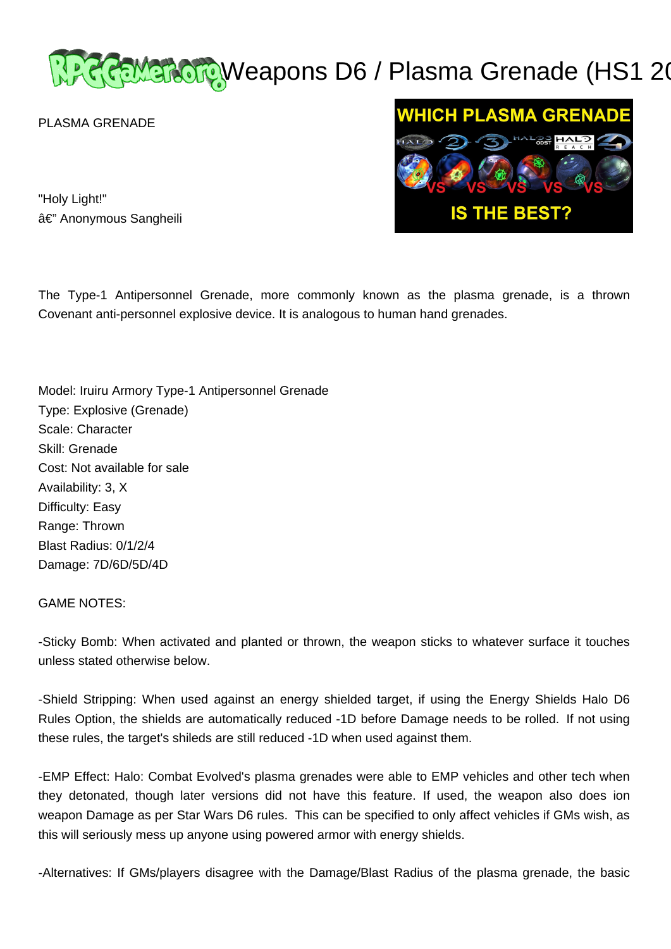# REMERCIQWeapons D6 / Plasma Grenade (HS1 20

PLASMA GRENADE



"Holy Light!" â€" Anonymous Sangheili

The Type-1 Antipersonnel Grenade, more commonly known as the plasma grenade, is a thrown Covenant anti-personnel explosive device. It is analogous to human hand grenades.

Model: Iruiru Armory Type-1 Antipersonnel Grenade Type: Explosive (Grenade) Scale: Character Skill: Grenade Cost: Not available for sale Availability: 3, X Difficulty: Easy Range: Thrown Blast Radius: 0/1/2/4 Damage: 7D/6D/5D/4D

GAME NOTES:

-Sticky Bomb: When activated and planted or thrown, the weapon sticks to whatever surface it touches unless stated otherwise below.

-Shield Stripping: When used against an energy shielded target, if using the Energy Shields Halo D6 Rules Option, the shields are automatically reduced -1D before Damage needs to be rolled. If not using these rules, the target's shileds are still reduced -1D when used against them.

-EMP Effect: Halo: Combat Evolved's plasma grenades were able to EMP vehicles and other tech when they detonated, though later versions did not have this feature. If used, the weapon also does ion weapon Damage as per Star Wars D6 rules. This can be specified to only affect vehicles if GMs wish, as this will seriously mess up anyone using powered armor with energy shields.

-Alternatives: If GMs/players disagree with the Damage/Blast Radius of the plasma grenade, the basic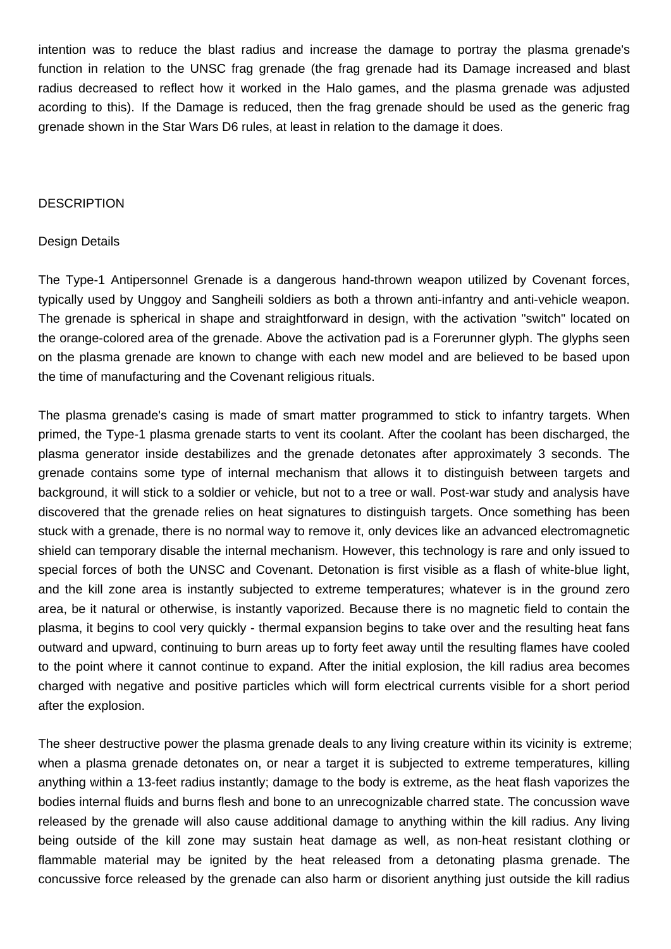intention was to reduce the blast radius and increase the damage to portray the plasma grenade's function in relation to the UNSC frag grenade (the frag grenade had its Damage increased and blast radius decreased to reflect how it worked in the Halo games, and the plasma grenade was adjusted acording to this). If the Damage is reduced, then the frag grenade should be used as the generic frag grenade shown in the Star Wars D6 rules, at least in relation to the damage it does.

#### **DESCRIPTION**

#### Design Details

The Type-1 Antipersonnel Grenade is a dangerous hand-thrown weapon utilized by Covenant forces, typically used by Unggoy and Sangheili soldiers as both a thrown anti-infantry and anti-vehicle weapon. The grenade is spherical in shape and straightforward in design, with the activation "switch" located on the orange-colored area of the grenade. Above the activation pad is a Forerunner glyph. The glyphs seen on the plasma grenade are known to change with each new model and are believed to be based upon the time of manufacturing and the Covenant religious rituals.

The plasma grenade's casing is made of smart matter programmed to stick to infantry targets. When primed, the Type-1 plasma grenade starts to vent its coolant. After the coolant has been discharged, the plasma generator inside destabilizes and the grenade detonates after approximately 3 seconds. The grenade contains some type of internal mechanism that allows it to distinguish between targets and background, it will stick to a soldier or vehicle, but not to a tree or wall. Post-war study and analysis have discovered that the grenade relies on heat signatures to distinguish targets. Once something has been stuck with a grenade, there is no normal way to remove it, only devices like an advanced electromagnetic shield can temporary disable the internal mechanism. However, this technology is rare and only issued to special forces of both the UNSC and Covenant. Detonation is first visible as a flash of white-blue light, and the kill zone area is instantly subjected to extreme temperatures; whatever is in the ground zero area, be it natural or otherwise, is instantly vaporized. Because there is no magnetic field to contain the plasma, it begins to cool very quickly - thermal expansion begins to take over and the resulting heat fans outward and upward, continuing to burn areas up to forty feet away until the resulting flames have cooled to the point where it cannot continue to expand. After the initial explosion, the kill radius area becomes charged with negative and positive particles which will form electrical currents visible for a short period after the explosion.

The sheer destructive power the plasma grenade deals to any living creature within its vicinity is extreme; when a plasma grenade detonates on, or near a target it is subjected to extreme temperatures, killing anything within a 13-feet radius instantly; damage to the body is extreme, as the heat flash vaporizes the bodies internal fluids and burns flesh and bone to an unrecognizable charred state. The concussion wave released by the grenade will also cause additional damage to anything within the kill radius. Any living being outside of the kill zone may sustain heat damage as well, as non-heat resistant clothing or flammable material may be ignited by the heat released from a detonating plasma grenade. The concussive force released by the grenade can also harm or disorient anything just outside the kill radius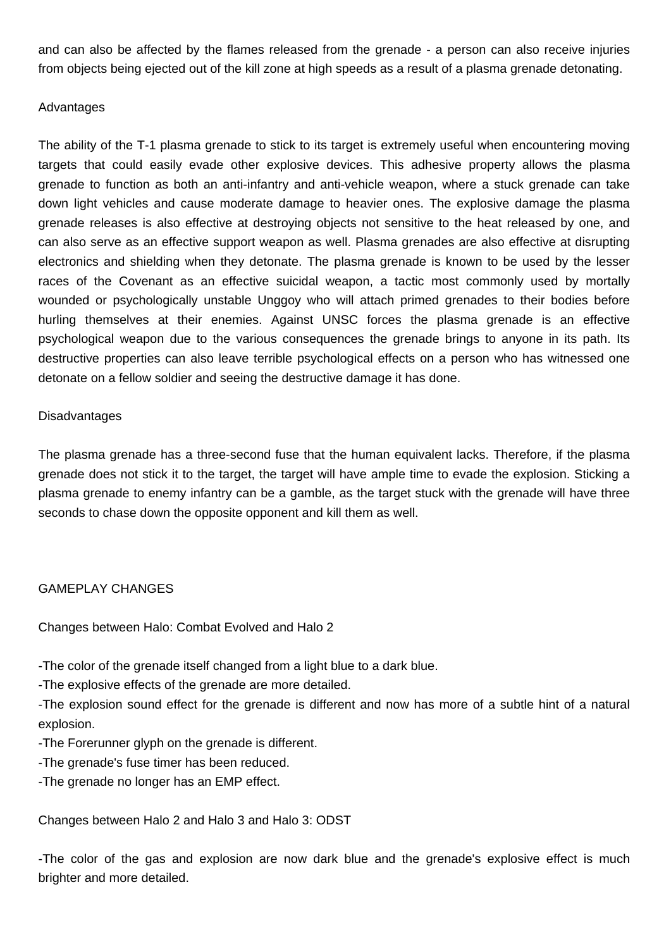and can also be affected by the flames released from the grenade - a person can also receive injuries from objects being ejected out of the kill zone at high speeds as a result of a plasma grenade detonating.

### Advantages

The ability of the T-1 plasma grenade to stick to its target is extremely useful when encountering moving targets that could easily evade other explosive devices. This adhesive property allows the plasma grenade to function as both an anti-infantry and anti-vehicle weapon, where a stuck grenade can take down light vehicles and cause moderate damage to heavier ones. The explosive damage the plasma grenade releases is also effective at destroying objects not sensitive to the heat released by one, and can also serve as an effective support weapon as well. Plasma grenades are also effective at disrupting electronics and shielding when they detonate. The plasma grenade is known to be used by the lesser races of the Covenant as an effective suicidal weapon, a tactic most commonly used by mortally wounded or psychologically unstable Unggoy who will attach primed grenades to their bodies before hurling themselves at their enemies. Against UNSC forces the plasma grenade is an effective psychological weapon due to the various consequences the grenade brings to anyone in its path. Its destructive properties can also leave terrible psychological effects on a person who has witnessed one detonate on a fellow soldier and seeing the destructive damage it has done.

## Disadvantages

The plasma grenade has a three-second fuse that the human equivalent lacks. Therefore, if the plasma grenade does not stick it to the target, the target will have ample time to evade the explosion. Sticking a plasma grenade to enemy infantry can be a gamble, as the target stuck with the grenade will have three seconds to chase down the opposite opponent and kill them as well.

## GAMEPLAY CHANGES

Changes between Halo: Combat Evolved and Halo 2

-The color of the grenade itself changed from a light blue to a dark blue.

-The explosive effects of the grenade are more detailed.

-The explosion sound effect for the grenade is different and now has more of a subtle hint of a natural explosion.

-The Forerunner glyph on the grenade is different.

-The grenade's fuse timer has been reduced.

-The grenade no longer has an EMP effect.

Changes between Halo 2 and Halo 3 and Halo 3: ODST

-The color of the gas and explosion are now dark blue and the grenade's explosive effect is much brighter and more detailed.